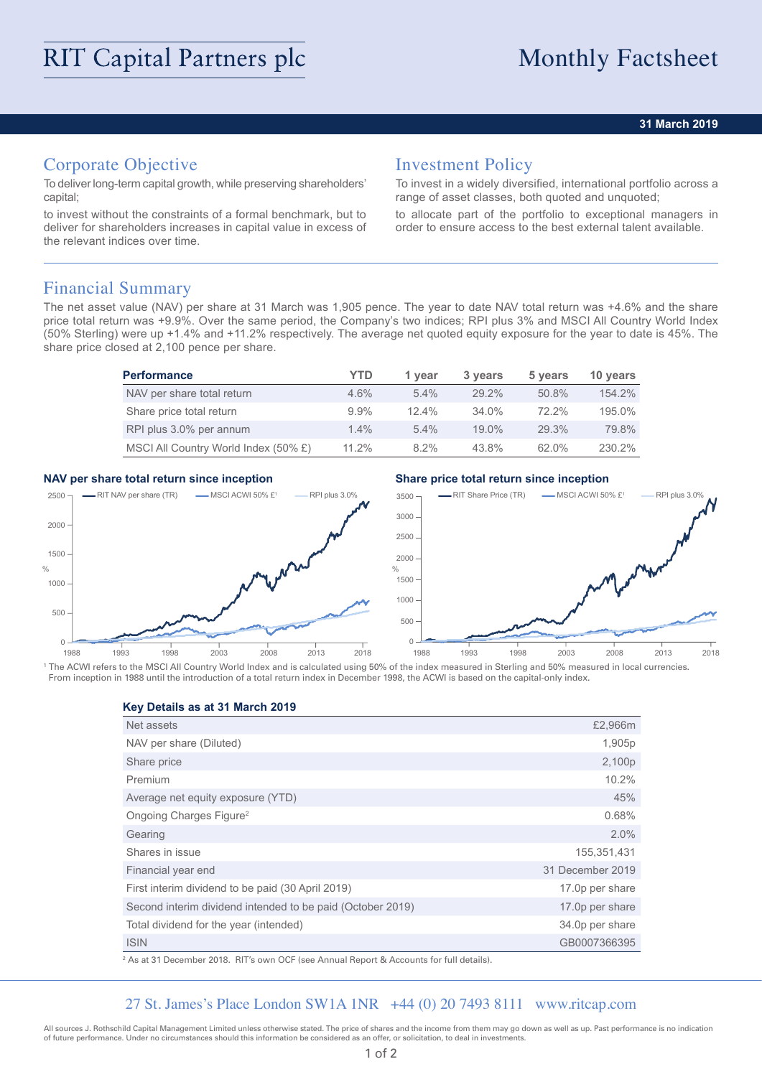### **31 March 2019**

# Corporate Objective

To deliver long-term capital growth, while preserving shareholders' capital;

to invest without the constraints of a formal benchmark, but to deliver for shareholders increases in capital value in excess of the relevant indices over time.

## Investment Policy

To invest in a widely diversified, international portfolio across a range of asset classes, both quoted and unquoted;

to allocate part of the portfolio to exceptional managers in order to ensure access to the best external talent available.

## Financial Summary

The net asset value (NAV) per share at 31 March was 1,905 pence. The year to date NAV total return was +4.6% and the share price total return was +9.9%. Over the same period, the Company's two indices; RPI plus 3% and MSCI All Country World Index (50% Sterling) were up +1.4% and +11.2% respectively. The average net quoted equity exposure for the year to date is 45%. The share price closed at 2,100 pence per share.

| <b>Performance</b>                   | YTD     | 1 year   | 3 years  | 5 years  | 10 years |
|--------------------------------------|---------|----------|----------|----------|----------|
| NAV per share total return           | $4.6\%$ | $5.4\%$  | $29.2\%$ | 50.8%    | 154.2%   |
| Share price total return             | $9.9\%$ | $12.4\%$ | $34.0\%$ | $72.2\%$ | 195.0%   |
| RPI plus 3.0% per annum              | $1.4\%$ | $5.4\%$  | $19.0\%$ | 29.3%    | 79.8%    |
| MSCI All Country World Index (50% £) | 11.2%   | $8.2\%$  | 43.8%    | 62.0%    | 230.2%   |

### **NAV per share total return since inception Share price total return since inception**



<sup>1</sup> The ACWI refers to the MSCI All Country World Index and is calculated using 50% of the index measured in Sterling and 50% measured in local currencies. From inception in 1988 until the introduction of a total return index in December 1998, the ACWI is based on the capital-only index.

**Key Details as at 31 March 2019**

| Net assets                                                 | £2,966m          |
|------------------------------------------------------------|------------------|
| NAV per share (Diluted)                                    | 1,905p           |
| Share price                                                | 2,100p           |
| Premium                                                    | 10.2%            |
| Average net equity exposure (YTD)                          | 45%              |
| Ongoing Charges Figure <sup>2</sup>                        | 0.68%            |
| Gearing                                                    | 2.0%             |
| Shares in issue                                            | 155,351,431      |
| Financial year end                                         | 31 December 2019 |
| First interim dividend to be paid (30 April 2019)          | 17.0p per share  |
| Second interim dividend intended to be paid (October 2019) | 17.0p per share  |
| Total dividend for the year (intended)                     | 34.0p per share  |
| <b>ISIN</b>                                                | GB0007366395     |

2 As at 31 December 2018. RIT's own OCF (see Annual Report & Accounts for full details).

### 27 St. James's Place London SW1A 1NR +44 (0) 20 7493 8111 www.ritcap.com

All sources J. Rothschild Capital Management Limited unless otherwise stated. The price of shares and the income from them may go down as well as up. Past performance is no indication of future performance. Under no circumstances should this information be considered as an offer, or solicitation, to deal in investments.